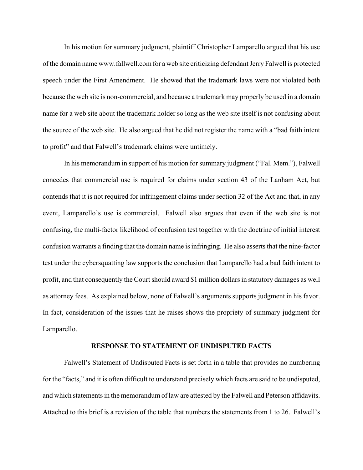In his motion for summary judgment, plaintiff Christopher Lamparello argued that his use of the domain name www.fallwell.com for a web site criticizing defendant Jerry Falwell is protected speech under the First Amendment. He showed that the trademark laws were not violated both because the web site is non-commercial, and because a trademark may properly be used in a domain name for a web site about the trademark holder so long as the web site itself is not confusing about the source of the web site. He also argued that he did not register the name with a "bad faith intent to profit" and that Falwell's trademark claims were untimely.

In his memorandum in support of his motion for summary judgment ("Fal. Mem."), Falwell concedes that commercial use is required for claims under section 43 of the Lanham Act, but contends that it is not required for infringement claims under section 32 of the Act and that, in any event, Lamparello's use is commercial. Falwell also argues that even if the web site is not confusing, the multi-factor likelihood of confusion test together with the doctrine of initial interest confusion warrants a finding that the domain name is infringing. He also asserts that the nine-factor test under the cybersquatting law supports the conclusion that Lamparello had a bad faith intent to profit, and that consequently the Court should award \$1 million dollars in statutory damages as well as attorney fees. As explained below, none of Falwell's arguments supports judgment in his favor. In fact, consideration of the issues that he raises shows the propriety of summary judgment for Lamparello.

#### **RESPONSE TO STATEMENT OF UNDISPUTED FACTS**

Falwell's Statement of Undisputed Facts is set forth in a table that provides no numbering for the "facts," and it is often difficult to understand precisely which facts are said to be undisputed, and which statements in the memorandum of law are attested by the Falwell and Peterson affidavits. Attached to this brief is a revision of the table that numbers the statements from 1 to 26. Falwell's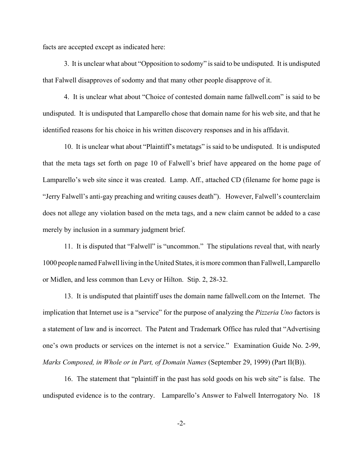facts are accepted except as indicated here:

3. It is unclear what about "Opposition to sodomy" is said to be undisputed. It is undisputed that Falwell disapproves of sodomy and that many other people disapprove of it.

4. It is unclear what about "Choice of contested domain name fallwell.com" is said to be undisputed. It is undisputed that Lamparello chose that domain name for his web site, and that he identified reasons for his choice in his written discovery responses and in his affidavit.

10. It is unclear what about "Plaintiff's metatags" is said to be undisputed. It is undisputed that the meta tags set forth on page 10 of Falwell's brief have appeared on the home page of Lamparello's web site since it was created. Lamp. Aff., attached CD (filename for home page is "Jerry Falwell's anti-gay preaching and writing causes death"). However, Falwell's counterclaim does not allege any violation based on the meta tags, and a new claim cannot be added to a case merely by inclusion in a summary judgment brief.

11. It is disputed that "Falwell" is "uncommon." The stipulations reveal that, with nearly 1000 people named Falwell living in the United States, it is more common than Fallwell, Lamparello or Midlen, and less common than Levy or Hilton. Stip. 2, 28-32.

13. It is undisputed that plaintiff uses the domain name fallwell.com on the Internet. The implication that Internet use is a "service" for the purpose of analyzing the *Pizzeria Uno* factors is a statement of law and is incorrect. The Patent and Trademark Office has ruled that "Advertising one's own products or services on the internet is not a service." Examination Guide No. 2-99, *Marks Composed, in Whole or in Part, of Domain Names* (September 29, 1999) (Part II(B)).

16. The statement that "plaintiff in the past has sold goods on his web site" is false. The undisputed evidence is to the contrary. Lamparello's Answer to Falwell Interrogatory No. 18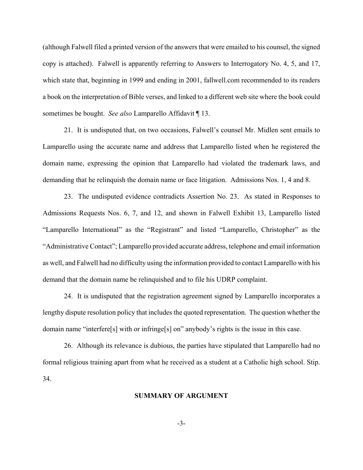(although Falwell filed a printed version of the answers that were emailed to his counsel, the signed copy is attached). Falwell is apparently referring to Answers to Interrogatory No. 4, 5, and 17, which state that, beginning in 1999 and ending in 2001, fallwell.com recommended to its readers a book on the interpretation of Bible verses, and linked to a different web site where the book could sometimes be bought. *See also* Lamparello Affidavit ¶ 13.

21. It is undisputed that, on two occasions, Falwell's counsel Mr. Midlen sent emails to Lamparello using the accurate name and address that Lamparello listed when he registered the domain name, expressing the opinion that Lamparello had violated the trademark laws, and demanding that he relinquish the domain name or face litigation. Admissions Nos. 1, 4 and 8.

23. The undisputed evidence contradicts Assertion No. 23. As stated in Responses to Admissions Requests Nos. 6, 7, and 12, and shown in Falwell Exhibit 13, Lamparello listed "Lamparello International" as the "Registrant" and listed "Lamparello, Christopher" as the "Administrative Contact"; Lamparello provided accurate address, telephone and email information as well, and Falwell had no difficulty using the information provided to contact Lamparello with his demand that the domain name be relinquished and to file his UDRP complaint.

24. It is undisputed that the registration agreement signed by Lamparello incorporates a lengthy dispute resolution policy that includes the quoted representation. The question whether the domain name "interfere[s] with or infringe[s] on" anybody's rights is the issue in this case.

26. Although its relevance is dubious, the parties have stipulated that Lamparello had no formal religious training apart from what he received as a student at a Catholic high school. Stip. 34.

## **SUMMARY OF ARGUMENT**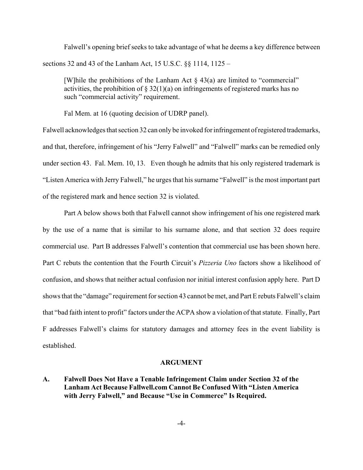Falwell's opening brief seeks to take advantage of what he deems a key difference between sections 32 and 43 of the Lanham Act, 15 U.S.C. §§ 1114, 1125 –

[W] hile the prohibitions of the Lanham Act  $\S$  43(a) are limited to "commercial" activities, the prohibition of  $\S 32(1)(a)$  on infringements of registered marks has no such "commercial activity" requirement.

Fal Mem. at 16 (quoting decision of UDRP panel).

Falwell acknowledges that section 32 can only be invoked for infringement of registered trademarks, and that, therefore, infringement of his "Jerry Falwell" and "Falwell" marks can be remedied only under section 43. Fal. Mem. 10, 13. Even though he admits that his only registered trademark is "Listen America with Jerry Falwell," he urges that his surname "Falwell" is the most important part of the registered mark and hence section 32 is violated.

Part A below shows both that Falwell cannot show infringement of his one registered mark by the use of a name that is similar to his surname alone, and that section 32 does require commercial use. Part B addresses Falwell's contention that commercial use has been shown here. Part C rebuts the contention that the Fourth Circuit's *Pizzeria Uno* factors show a likelihood of confusion, and shows that neither actual confusion nor initial interest confusion apply here. Part D shows that the "damage" requirement for section 43 cannot be met, and Part E rebuts Falwell's claim that "bad faith intent to profit" factors under the ACPA show a violation of that statute. Finally, Part F addresses Falwell's claims for statutory damages and attorney fees in the event liability is established.

#### **ARGUMENT**

**A. Falwell Does Not Have a Tenable Infringement Claim under Section 32 of the Lanham Act Because Fallwell.com Cannot Be Confused With "Listen America with Jerry Falwell," and Because "Use in Commerce" Is Required.**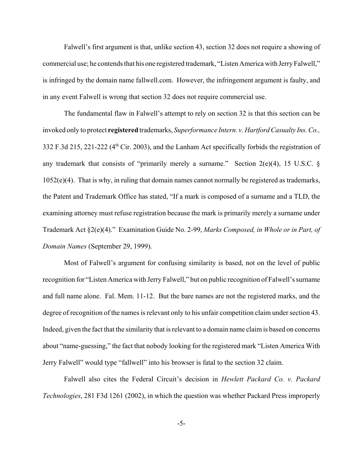Falwell's first argument is that, unlike section 43, section 32 does not require a showing of commercial use; he contends that his one registered trademark, "Listen America with Jerry Falwell," is infringed by the domain name fallwell.com. However, the infringement argument is faulty, and in any event Falwell is wrong that section 32 does not require commercial use.

The fundamental flaw in Falwell's attempt to rely on section 32 is that this section can be invoked only to protect **registered** trademarks, *Superformance Intern. v. Hartford Casualty Ins. Co.,* 332 F.3d 215, 221-222 (4<sup>th</sup> Cir. 2003), and the Lanham Act specifically forbids the registration of any trademark that consists of "primarily merely a surname." Section  $2(e)(4)$ , 15 U.S.C. § 1052(e)(4). That is why, in ruling that domain names cannot normally be registered as trademarks, the Patent and Trademark Office has stated, "If a mark is composed of a surname and a TLD, the examining attorney must refuse registration because the mark is primarily merely a surname under Trademark Act §2(e)(4)." Examination Guide No. 2-99, *Marks Composed, in Whole or in Part, of Domain Names* (September 29, 1999).

Most of Falwell's argument for confusing similarity is based, not on the level of public recognition for "Listen America with Jerry Falwell," but on public recognition of Falwell's surname and full name alone. Fal. Mem. 11-12. But the bare names are not the registered marks, and the degree of recognition of the names is relevant only to his unfair competition claim under section 43. Indeed, given the fact that the similarity that is relevant to a domain name claim is based on concerns about "name-guessing," the fact that nobody looking for the registered mark "Listen America With Jerry Falwell" would type "fallwell" into his browser is fatal to the section 32 claim.

Falwell also cites the Federal Circuit's decision in *Hewlett Packard Co. v. Packard Technologies*, 281 F3d 1261 (2002), in which the question was whether Packard Press improperly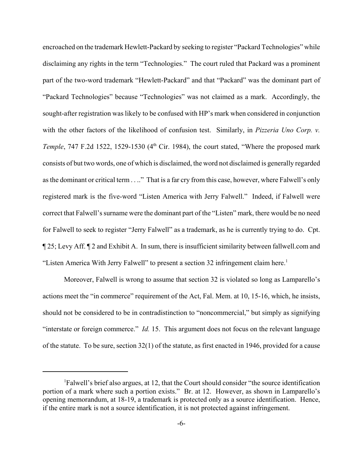encroached on the trademark Hewlett-Packard by seeking to register "Packard Technologies" while disclaiming any rights in the term "Technologies." The court ruled that Packard was a prominent part of the two-word trademark "Hewlett-Packard" and that "Packard" was the dominant part of "Packard Technologies" because "Technologies" was not claimed as a mark. Accordingly, the sought-after registration was likely to be confused with HP's mark when considered in conjunction with the other factors of the likelihood of confusion test. Similarly, in *Pizzeria Uno Corp. v. Temple*, 747 F.2d 1522, 1529-1530 (4<sup>th</sup> Cir. 1984), the court stated, "Where the proposed mark consists of but two words, one of which is disclaimed, the word not disclaimed is generally regarded as the dominant or critical term . . .." That is a far cry from this case, however, where Falwell's only registered mark is the five-word "Listen America with Jerry Falwell." Indeed, if Falwell were correct that Falwell's surname were the dominant part of the "Listen" mark, there would be no need for Falwell to seek to register "Jerry Falwell" as a trademark, as he is currently trying to do. Cpt. ¶ 25; Levy Aff. ¶ 2 and Exhibit A. In sum, there is insufficient similarity between fallwell.com and "Listen America With Jerry Falwell" to present a section 32 infringement claim here.<sup>1</sup>

Moreover, Falwell is wrong to assume that section 32 is violated so long as Lamparello's actions meet the "in commerce" requirement of the Act, Fal. Mem. at 10, 15-16, which, he insists, should not be considered to be in contradistinction to "noncommercial," but simply as signifying "interstate or foreign commerce." *Id.* 15. This argument does not focus on the relevant language of the statute. To be sure, section 32(1) of the statute, as first enacted in 1946, provided for a cause

<sup>1</sup> Falwell's brief also argues, at 12, that the Court should consider "the source identification portion of a mark where such a portion exists." Br. at 12. However, as shown in Lamparello's opening memorandum, at 18-19, a trademark is protected only as a source identification. Hence, if the entire mark is not a source identification, it is not protected against infringement.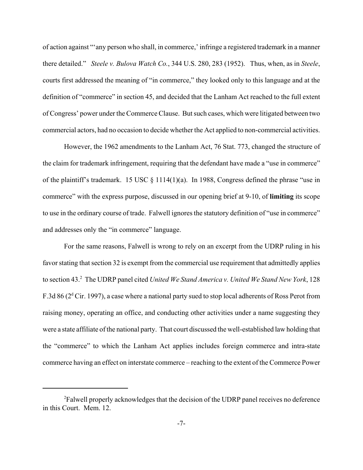of action against "'any person who shall, in commerce,' infringe a registered trademark in a manner there detailed." *Steele v. Bulova Watch Co.*, 344 U.S. 280, 283 (1952). Thus, when, as in *Steele*, courts first addressed the meaning of "in commerce," they looked only to this language and at the definition of "commerce" in section 45, and decided that the Lanham Act reached to the full extent of Congress' power under the Commerce Clause. But such cases, which were litigated between two commercial actors, had no occasion to decide whether the Act applied to non-commercial activities.

However, the 1962 amendments to the Lanham Act, 76 Stat. 773, changed the structure of the claim for trademark infringement, requiring that the defendant have made a "use in commerce" of the plaintiff's trademark. 15 USC § 1114(1)(a). In 1988, Congress defined the phrase "use in commerce" with the express purpose, discussed in our opening brief at 9-10, of **limiting** its scope to use in the ordinary course of trade. Falwell ignores the statutory definition of "use in commerce" and addresses only the "in commerce" language.

For the same reasons, Falwell is wrong to rely on an excerpt from the UDRP ruling in his favor stating that section 32 is exempt from the commercial use requirement that admittedly applies to section 43.<sup>2</sup> The UDRP panel cited *United We Stand America v. United We Stand New York*, 128 F.3d 86 ( $2<sup>d</sup>$  Cir. 1997), a case where a national party sued to stop local adherents of Ross Perot from raising money, operating an office, and conducting other activities under a name suggesting they were a state affiliate of the national party. That court discussed the well-established law holding that the "commerce" to which the Lanham Act applies includes foreign commerce and intra-state commerce having an effect on interstate commerce – reaching to the extent of the Commerce Power

<sup>&</sup>lt;sup>2</sup>Falwell properly acknowledges that the decision of the UDRP panel receives no deference in this Court. Mem. 12.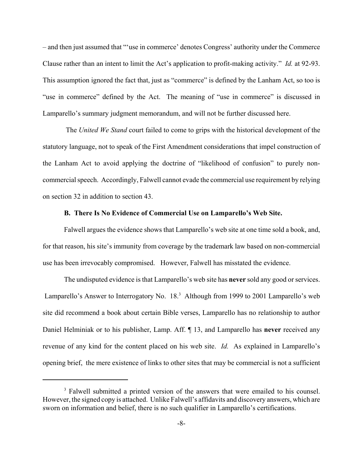– and then just assumed that "'use in commerce' denotes Congress' authority under the Commerce Clause rather than an intent to limit the Act's application to profit-making activity." *Id.* at 92-93. This assumption ignored the fact that, just as "commerce" is defined by the Lanham Act, so too is "use in commerce" defined by the Act. The meaning of "use in commerce" is discussed in Lamparello's summary judgment memorandum, and will not be further discussed here.

 The *United We Stand* court failed to come to grips with the historical development of the statutory language, not to speak of the First Amendment considerations that impel construction of the Lanham Act to avoid applying the doctrine of "likelihood of confusion" to purely noncommercial speech. Accordingly, Falwell cannot evade the commercial use requirement by relying on section 32 in addition to section 43.

#### **B. There Is No Evidence of Commercial Use on Lamparello's Web Site.**

Falwell argues the evidence shows that Lamparello's web site at one time sold a book, and, for that reason, his site's immunity from coverage by the trademark law based on non-commercial use has been irrevocably compromised. However, Falwell has misstated the evidence.

The undisputed evidence is that Lamparello's web site has **never** sold any good or services. Lamparello's Answer to Interrogatory No. 18.<sup>3</sup> Although from 1999 to 2001 Lamparello's web site did recommend a book about certain Bible verses, Lamparello has no relationship to author Daniel Helminiak or to his publisher, Lamp. Aff. ¶ 13, and Lamparello has **never** received any revenue of any kind for the content placed on his web site. *Id.* As explained in Lamparello's opening brief, the mere existence of links to other sites that may be commercial is not a sufficient

<sup>&</sup>lt;sup>3</sup> Falwell submitted a printed version of the answers that were emailed to his counsel. However, the signed copy is attached. Unlike Falwell's affidavits and discovery answers, which are sworn on information and belief, there is no such qualifier in Lamparello's certifications.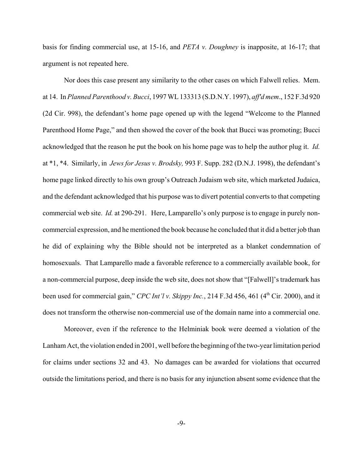basis for finding commercial use, at 15-16, and *PETA v. Doughney* is inapposite, at 16-17; that argument is not repeated here.

Nor does this case present any similarity to the other cases on which Falwell relies. Mem. at 14. In *Planned Parenthood v. Bucci*, 1997 WL 133313 (S.D.N.Y. 1997), *aff'd mem*., 152 F.3d 920 (2d Cir. 998), the defendant's home page opened up with the legend "Welcome to the Planned Parenthood Home Page," and then showed the cover of the book that Bucci was promoting; Bucci acknowledged that the reason he put the book on his home page was to help the author plug it. *Id.* at \*1, \*4. Similarly, in *Jews for Jesus v. Brodsky,* 993 F. Supp. 282 (D.N.J. 1998), the defendant's home page linked directly to his own group's Outreach Judaism web site, which marketed Judaica, and the defendant acknowledged that his purpose was to divert potential converts to that competing commercial web site. *Id.* at 290-291. Here, Lamparello's only purpose is to engage in purely noncommercial expression, and he mentioned the book because he concluded that it did a better job than he did of explaining why the Bible should not be interpreted as a blanket condemnation of homosexuals. That Lamparello made a favorable reference to a commercially available book, for a non-commercial purpose, deep inside the web site, does not show that "[Falwell]'s trademark has been used for commercial gain," *CPC Int'l v. Skippy Inc.*, 214 F.3d 456, 461 (4<sup>th</sup> Cir. 2000), and it does not transform the otherwise non-commercial use of the domain name into a commercial one.

Moreover, even if the reference to the Helminiak book were deemed a violation of the Lanham Act, the violation ended in 2001, well before the beginning of the two-year limitation period for claims under sections 32 and 43. No damages can be awarded for violations that occurred outside the limitations period, and there is no basis for any injunction absent some evidence that the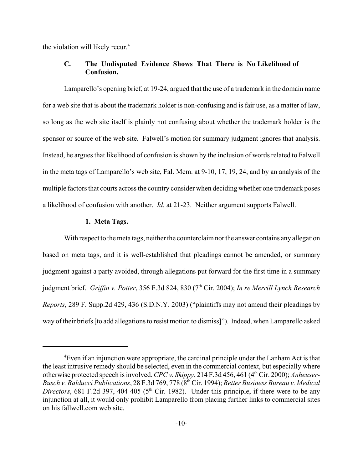the violation will likely recur.<sup>4</sup>

# **C. The Undisputed Evidence Shows That There is No Likelihood of Confusion.**

Lamparello's opening brief, at 19-24, argued that the use of a trademark in the domain name for a web site that is about the trademark holder is non-confusing and is fair use, as a matter of law, so long as the web site itself is plainly not confusing about whether the trademark holder is the sponsor or source of the web site. Falwell's motion for summary judgment ignores that analysis. Instead, he argues that likelihood of confusion is shown by the inclusion of words related to Falwell in the meta tags of Lamparello's web site, Fal. Mem. at 9-10, 17, 19, 24, and by an analysis of the multiple factors that courts across the country consider when deciding whether one trademark poses a likelihood of confusion with another. *Id.* at 21-23. Neither argument supports Falwell.

### **1. Meta Tags.**

With respect to the meta tags, neither the counterclaim nor the answer contains any allegation based on meta tags, and it is well-established that pleadings cannot be amended, or summary judgment against a party avoided, through allegations put forward for the first time in a summary judgment brief. *Griffin v. Potter*, 356 F.3d 824, 830 (7<sup>th</sup> Cir. 2004); *In re Merrill Lynch Research Reports*, 289 F. Supp.2d 429, 436 (S.D.N.Y. 2003) ("plaintiffs may not amend their pleadings by way of their briefs [to add allegations to resist motion to dismiss]"). Indeed, when Lamparello asked

<sup>&</sup>lt;sup>4</sup>Even if an injunction were appropriate, the cardinal principle under the Lanham Act is that the least intrusive remedy should be selected, even in the commercial context, but especially where otherwise protected speech is involved. *CPC v. Skippy*, 214 F.3d 456, 461 (4<sup>th</sup> Cir. 2000); *Anheuser-Busch v. Balducci Publications*, 28 F.3d 769, 778 (8th Cir. 1994); *Better Business Bureau v. Medical Directors*, 681 F.2d 397, 404-405 ( $5<sup>th</sup>$  Cir. 1982). Under this principle, if there were to be any injunction at all, it would only prohibit Lamparello from placing further links to commercial sites on his fallwell.com web site.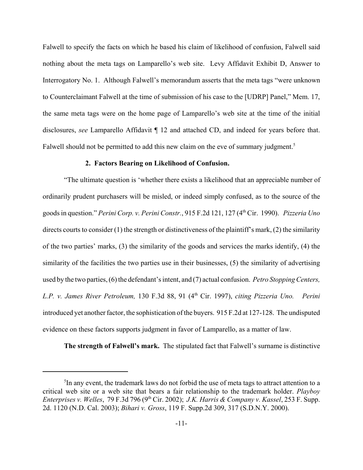Falwell to specify the facts on which he based his claim of likelihood of confusion, Falwell said nothing about the meta tags on Lamparello's web site. Levy Affidavit Exhibit D, Answer to Interrogatory No. 1. Although Falwell's memorandum asserts that the meta tags "were unknown to Counterclaimant Falwell at the time of submission of his case to the [UDRP] Panel," Mem. 17, the same meta tags were on the home page of Lamparello's web site at the time of the initial disclosures, *see* Lamparello Affidavit ¶ 12 and attached CD, and indeed for years before that. Falwell should not be permitted to add this new claim on the eve of summary judgment.<sup>5</sup>

#### **2. Factors Bearing on Likelihood of Confusion.**

"The ultimate question is 'whether there exists a likelihood that an appreciable number of ordinarily prudent purchasers will be misled, or indeed simply confused, as to the source of the goods in question." *Perini Corp. v. Perini Constr.*, 915 F.2d 121, 127 (4th Cir. 1990). *Pizzeria Uno* directs courts to consider (1) the strength or distinctiveness of the plaintiff's mark, (2) the similarity of the two parties' marks, (3) the similarity of the goods and services the marks identify, (4) the similarity of the facilities the two parties use in their businesses, (5) the similarity of advertising used by the two parties, (6) the defendant's intent, and (7) actual confusion. *Petro Stopping Centers, L.P. v. James River Petroleum,* 130 F.3d 88, 91 (4th Cir. 1997), *citing Pizzeria Uno. Perini* introduced yet another factor, the sophistication of the buyers. 915 F.2d at 127-128. The undisputed evidence on these factors supports judgment in favor of Lamparello, as a matter of law.

**The strength of Falwell's mark.** The stipulated fact that Falwell's surname is distinctive

<sup>&</sup>lt;sup>5</sup>In any event, the trademark laws do not forbid the use of meta tags to attract attention to a critical web site or a web site that bears a fair relationship to the trademark holder. *Playboy Enterprises v. Welles*, 79 F.3d 796 (9th Cir. 2002); *J.K. Harris & Company v. Kassel*, 253 F. Supp. 2d. 1120 (N.D. Cal. 2003); *Bihari v. Gross*, 119 F. Supp.2d 309, 317 (S.D.N.Y. 2000).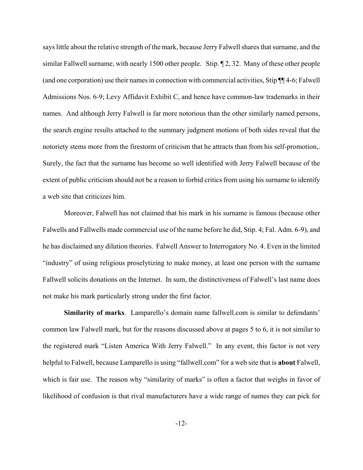says little about the relative strength of the mark, because Jerry Falwell shares that surname, and the similar Fallwell surname, with nearly 1500 other people. Stip. ¶ 2, 32. Many of these other people (and one corporation) use their names in connection with commercial activities, Stip ¶¶ 4-6; Falwell Admissions Nos. 6-9; Levy Affidavit Exhibit C, and hence have common-law trademarks in their names. And although Jerry Falwell is far more notorious than the other similarly named persons, the search engine results attached to the summary judgment motions of both sides reveal that the notoriety stems more from the firestorm of criticism that he attracts than from his self-promotion,. Surely, the fact that the surname has become so well identified with Jerry Falwell because of the extent of public criticism should not be a reason to forbid critics from using his surname to identify a web site that criticizes him.

Moreover, Falwell has not claimed that his mark in his surname is famous (because other Falwells and Fallwells made commercial use of the name before he did, Stip. 4; Fal. Adm. 6-9), and he has disclaimed any dilution theories. Falwell Answer to Interrogatory No. 4. Even in the limited "industry" of using religious proselytizing to make money, at least one person with the surname Fallwell solicits donations on the Internet. In sum, the distinctiveness of Falwell's last name does not make his mark particularly strong under the first factor.

**Similarity of marks**. Lamparello's domain name fallwell.com is similar to defendants' common law Falwell mark, but for the reasons discussed above at pages 5 to 6, it is not similar to the registered mark "Listen America With Jerry Falwell." In any event, this factor is not very helpful to Falwell, because Lamparello is using "fallwell.com" for a web site that is **about** Falwell, which is fair use. The reason why "similarity of marks" is often a factor that weighs in favor of likelihood of confusion is that rival manufacturers have a wide range of names they can pick for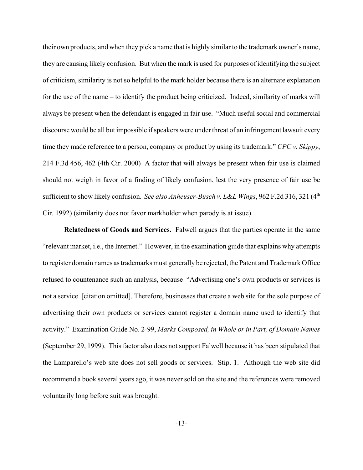their own products, and when they pick a name that is highly similar to the trademark owner's name, they are causing likely confusion. But when the mark is used for purposes of identifying the subject of criticism, similarity is not so helpful to the mark holder because there is an alternate explanation for the use of the name – to identify the product being criticized. Indeed, similarity of marks will always be present when the defendant is engaged in fair use. "Much useful social and commercial discourse would be all but impossible if speakers were under threat of an infringement lawsuit every time they made reference to a person, company or product by using its trademark." *CPC v. Skippy*, 214 F.3d 456, 462 (4th Cir. 2000) A factor that will always be present when fair use is claimed should not weigh in favor of a finding of likely confusion, lest the very presence of fair use be sufficient to show likely confusion. *See also Anheuser-Busch v. L&L Wings*, 962 F.2d 316, 321 (4<sup>th</sup>) Cir. 1992) (similarity does not favor markholder when parody is at issue).

**Relatedness of Goods and Services.** Falwell argues that the parties operate in the same "relevant market, i.e., the Internet." However, in the examination guide that explains why attempts to register domain names as trademarks must generally be rejected, the Patent and Trademark Office refused to countenance such an analysis, because "Advertising one's own products or services is not a service. [citation omitted]. Therefore, businesses that create a web site for the sole purpose of advertising their own products or services cannot register a domain name used to identify that activity." Examination Guide No. 2-99, *Marks Composed, in Whole or in Part, of Domain Names* (September 29, 1999). This factor also does not support Falwell because it has been stipulated that the Lamparello's web site does not sell goods or services. Stip. 1. Although the web site did recommend a book several years ago, it was never sold on the site and the references were removed voluntarily long before suit was brought.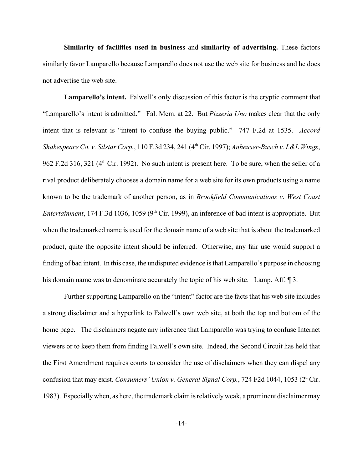**Similarity of facilities used in business** and **similarity of advertising.** These factors similarly favor Lamparello because Lamparello does not use the web site for business and he does not advertise the web site.

**Lamparello's intent.** Falwell's only discussion of this factor is the cryptic comment that "Lamparello's intent is admitted." Fal. Mem. at 22. But *Pizzeria Uno* makes clear that the only intent that is relevant is "intent to confuse the buying public." 747 F.2d at 1535. *Accord Shakespeare Co. v. Silstar Corp.*, 110 F.3d 234, 241 (4th Cir. 1997); *Anheuser-Busch v. L&L Wings*, 962 F.2d 316, 321 (4<sup>th</sup> Cir. 1992). No such intent is present here. To be sure, when the seller of a rival product deliberately chooses a domain name for a web site for its own products using a name known to be the trademark of another person, as in *Brookfield Communications v. West Coast Entertainment*, 174 F.3d 1036, 1059 (9<sup>th</sup> Cir. 1999), an inference of bad intent is appropriate. But when the trademarked name is used for the domain name of a web site that is about the trademarked product, quite the opposite intent should be inferred. Otherwise, any fair use would support a finding of bad intent. In this case, the undisputed evidence is that Lamparello's purpose in choosing his domain name was to denominate accurately the topic of his web site. Lamp. Aff. 1 3.

Further supporting Lamparello on the "intent" factor are the facts that his web site includes a strong disclaimer and a hyperlink to Falwell's own web site, at both the top and bottom of the home page. The disclaimers negate any inference that Lamparello was trying to confuse Internet viewers or to keep them from finding Falwell's own site. Indeed, the Second Circuit has held that the First Amendment requires courts to consider the use of disclaimers when they can dispel any confusion that may exist. *Consumers' Union v. General Signal Corp.*, 724 F2d 1044, 1053 (2<sup>d</sup> Cir. 1983). Especially when, as here, the trademark claim is relatively weak, a prominent disclaimer may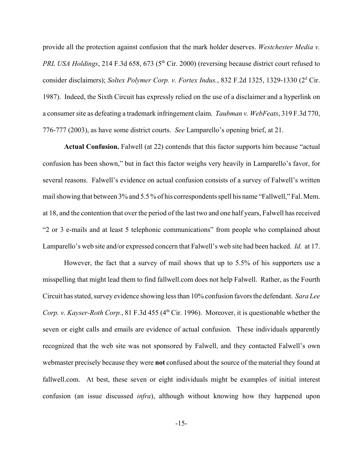provide all the protection against confusion that the mark holder deserves. *Westchester Media v. PRL USA Holdings*, 214 F.3d 658, 673 (5<sup>th</sup> Cir. 2000) (reversing because district court refused to consider disclaimers); *Soltex Polymer Corp. v. Fortex Indus.*, 832 F.2d 1325, 1329-1330 (2<sup>d</sup> Cir. 1987). Indeed, the Sixth Circuit has expressly relied on the use of a disclaimer and a hyperlink on a consumer site as defeating a trademark infringement claim. *Taubman v. WebFeats*, 319 F.3d 770, 776-777 (2003), as have some district courts. *See* Lamparello's opening brief, at 21.

**Actual Confusion.** Falwell (at 22) contends that this factor supports him because "actual confusion has been shown," but in fact this factor weighs very heavily in Lamparello's favor, for several reasons. Falwell's evidence on actual confusion consists of a survey of Falwell's written mail showing that between 3% and 5.5 % of his correspondents spell his name "Fallwell," Fal. Mem. at 18, and the contention that over the period of the last two and one half years, Falwell has received "2 or 3 e-mails and at least 5 telephonic communications" from people who complained about Lamparello's web site and/or expressed concern that Falwell's web site had been hacked. *Id.* at 17.

However, the fact that a survey of mail shows that up to 5.5% of his supporters use a misspelling that might lead them to find fallwell.com does not help Falwell. Rather, as the Fourth Circuit has stated, survey evidence showing less than 10% confusion favors the defendant. *Sara Lee Corp. v. Kayser-Roth Corp.*, 81 F.3d 455 (4<sup>th</sup> Cir. 1996). Moreover, it is questionable whether the seven or eight calls and emails are evidence of actual confusion. These individuals apparently recognized that the web site was not sponsored by Falwell, and they contacted Falwell's own webmaster precisely because they were **not** confused about the source of the material they found at fallwell.com. At best, these seven or eight individuals might be examples of initial interest confusion (an issue discussed *infra*), although without knowing how they happened upon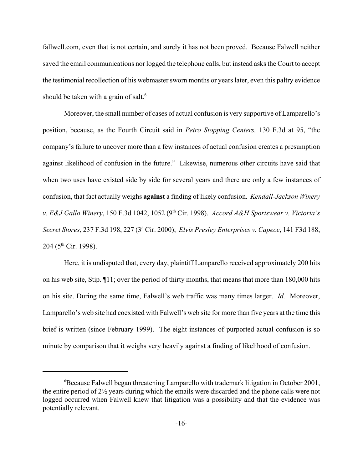fallwell.com, even that is not certain, and surely it has not been proved. Because Falwell neither saved the email communications nor logged the telephone calls, but instead asks the Court to accept the testimonial recollection of his webmaster sworn months or years later, even this paltry evidence should be taken with a grain of salt.<sup>6</sup>

Moreover, the small number of cases of actual confusion is very supportive of Lamparello's position, because, as the Fourth Circuit said in *Petro Stopping Centers,* 130 F.3d at 95, "the company's failure to uncover more than a few instances of actual confusion creates a presumption against likelihood of confusion in the future." Likewise, numerous other circuits have said that when two uses have existed side by side for several years and there are only a few instances of confusion, that fact actually weighs **against** a finding of likely confusion. *Kendall-Jackson Winery v. E&J Gallo Winery*, 150 F.3d 1042, 1052 (9th Cir. 1998). *Accord A&H Sportswear v. Victoria's Secret Stores*, 237 F.3d 198, 227 (3d Cir. 2000); *Elvis Presley Enterprises v. Capece*, 141 F3d 188,  $204$  (5<sup>th</sup> Cir. 1998).

Here, it is undisputed that, every day, plaintiff Lamparello received approximately 200 hits on his web site, Stip. ¶11; over the period of thirty months, that means that more than 180,000 hits on his site. During the same time, Falwell's web traffic was many times larger. *Id.* Moreover, Lamparello's web site had coexisted with Falwell's web site for more than five years at the time this brief is written (since February 1999). The eight instances of purported actual confusion is so minute by comparison that it weighs very heavily against a finding of likelihood of confusion.

<sup>6</sup> Because Falwell began threatening Lamparello with trademark litigation in October 2001, the entire period of 2½ years during which the emails were discarded and the phone calls were not logged occurred when Falwell knew that litigation was a possibility and that the evidence was potentially relevant.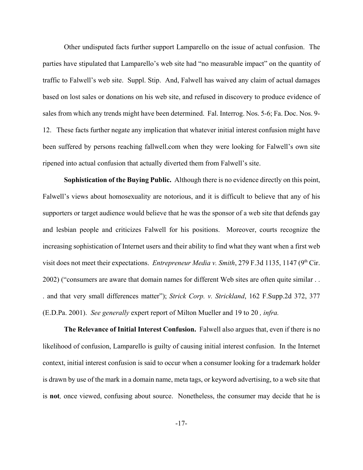Other undisputed facts further support Lamparello on the issue of actual confusion. The parties have stipulated that Lamparello's web site had "no measurable impact" on the quantity of traffic to Falwell's web site. Suppl. Stip. And, Falwell has waived any claim of actual damages based on lost sales or donations on his web site, and refused in discovery to produce evidence of sales from which any trends might have been determined. Fal. Interrog. Nos. 5-6; Fa. Doc. Nos. 9- 12. These facts further negate any implication that whatever initial interest confusion might have been suffered by persons reaching fallwell.com when they were looking for Falwell's own site ripened into actual confusion that actually diverted them from Falwell's site.

**Sophistication of the Buying Public.** Although there is no evidence directly on this point, Falwell's views about homosexuality are notorious, and it is difficult to believe that any of his supporters or target audience would believe that he was the sponsor of a web site that defends gay and lesbian people and criticizes Falwell for his positions. Moreover, courts recognize the increasing sophistication of Internet users and their ability to find what they want when a first web visit does not meet their expectations. *Entrepreneur Media v. Smith*, 279 F.3d 1135, 1147 (9<sup>th</sup> Cir. 2002) ("consumers are aware that domain names for different Web sites are often quite similar . . . and that very small differences matter"); *Strick Corp. v. Strickland*, 162 F.Supp.2d 372, 377 (E.D.Pa. 2001). *See generally* expert report of Milton Mueller and 19 to 20 *, infra.*

**The Relevance of Initial Interest Confusion.** Falwell also argues that, even if there is no likelihood of confusion, Lamparello is guilty of causing initial interest confusion. In the Internet context, initial interest confusion is said to occur when a consumer looking for a trademark holder is drawn by use of the mark in a domain name, meta tags, or keyword advertising, to a web site that is **not***,* once viewed, confusing about source. Nonetheless, the consumer may decide that he is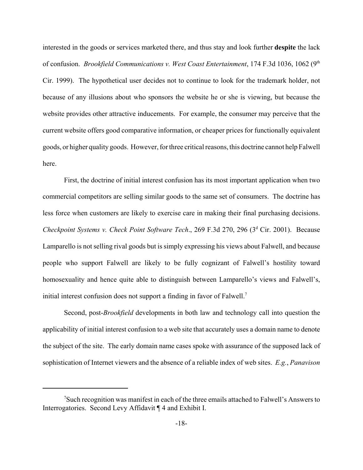interested in the goods or services marketed there, and thus stay and look further **despite** the lack of confusion. *Brookfield Communications v. West Coast Entertainment*, 174 F.3d 1036, 1062 (9<sup>th</sup>) Cir. 1999). The hypothetical user decides not to continue to look for the trademark holder, not because of any illusions about who sponsors the website he or she is viewing, but because the website provides other attractive inducements. For example, the consumer may perceive that the current website offers good comparative information, or cheaper prices for functionally equivalent goods, or higher quality goods. However, for three critical reasons, this doctrine cannot help Falwell here.

First, the doctrine of initial interest confusion has its most important application when two commercial competitors are selling similar goods to the same set of consumers. The doctrine has less force when customers are likely to exercise care in making their final purchasing decisions. Checkpoint Systems v. Check Point Software Tech., 269 F.3d 270, 296 (3<sup>d</sup> Cir. 2001). Because Lamparello is not selling rival goods but is simply expressing his views about Falwell, and because people who support Falwell are likely to be fully cognizant of Falwell's hostility toward homosexuality and hence quite able to distinguish between Lamparello's views and Falwell's, initial interest confusion does not support a finding in favor of Falwell.7

Second, post-*Brookfield* developments in both law and technology call into question the applicability of initial interest confusion to a web site that accurately uses a domain name to denote the subject of the site. The early domain name cases spoke with assurance of the supposed lack of sophistication of Internet viewers and the absence of a reliable index of web sites. *E.g.*, *Panavison*

<sup>&</sup>lt;sup>7</sup>Such recognition was manifest in each of the three emails attached to Falwell's Answers to Interrogatories. Second Levy Affidavit ¶ 4 and Exhibit I.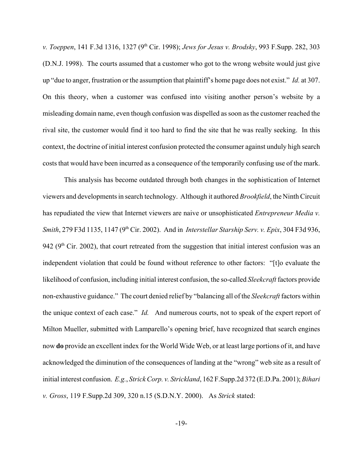*v. Toeppen*, 141 F.3d 1316, 1327 (9th Cir. 1998); *Jews for Jesus v. Brodsky*, 993 F.Supp. 282, 303 (D.N.J. 1998). The courts assumed that a customer who got to the wrong website would just give up "due to anger, frustration or the assumption that plaintiff's home page does not exist." *Id.* at 307. On this theory, when a customer was confused into visiting another person's website by a misleading domain name, even though confusion was dispelled as soon as the customer reached the rival site, the customer would find it too hard to find the site that he was really seeking. In this context, the doctrine of initial interest confusion protected the consumer against unduly high search costs that would have been incurred as a consequence of the temporarily confusing use of the mark.

This analysis has become outdated through both changes in the sophistication of Internet viewers and developments in search technology. Although it authored *Brookfield*, the Ninth Circuit has repudiated the view that Internet viewers are naive or unsophisticated *Entrepreneur Media v. Smith*, 279 F3d 1135, 1147 (9th Cir. 2002). And in *Interstellar Starship Serv. v. Epix*, 304 F3d 936, 942 ( $9<sup>th</sup>$  Cir. 2002), that court retreated from the suggestion that initial interest confusion was an independent violation that could be found without reference to other factors: "[t]o evaluate the likelihood of confusion, including initial interest confusion, the so-called *Sleekcraft* factors provide non-exhaustive guidance." The court denied relief by "balancing all of the *Sleekcraft* factors within the unique context of each case." *Id.* And numerous courts, not to speak of the expert report of Milton Mueller, submitted with Lamparello's opening brief, have recognized that search engines now **do** provide an excellent index for the World Wide Web, or at least large portions of it, and have acknowledged the diminution of the consequences of landing at the "wrong" web site as a result of initial interest confusion. *E.g.*, *Strick Corp. v. Strickland*, 162 F.Supp.2d 372 (E.D.Pa. 2001); *Bihari v. Gross*, 119 F.Supp.2d 309, 320 n.15 (S.D.N.Y. 2000). As *Strick* stated: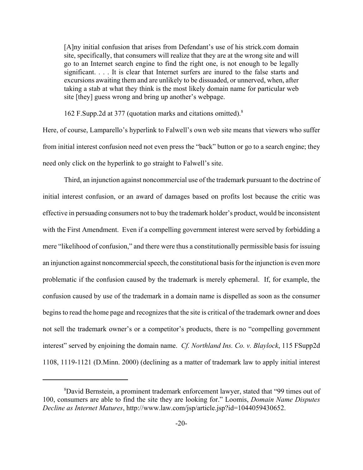[A]ny initial confusion that arises from Defendant's use of his strick.com domain site, specifically, that consumers will realize that they are at the wrong site and will go to an Internet search engine to find the right one, is not enough to be legally significant. . . . It is clear that Internet surfers are inured to the false starts and excursions awaiting them and are unlikely to be dissuaded, or unnerved, when, after taking a stab at what they think is the most likely domain name for particular web site [they] guess wrong and bring up another's webpage.

162 F.Supp.2d at 377 (quotation marks and citations omitted).8

Here, of course, Lamparello's hyperlink to Falwell's own web site means that viewers who suffer from initial interest confusion need not even press the "back" button or go to a search engine; they need only click on the hyperlink to go straight to Falwell's site.

Third, an injunction against noncommercial use of the trademark pursuant to the doctrine of initial interest confusion, or an award of damages based on profits lost because the critic was effective in persuading consumers not to buy the trademark holder's product, would be inconsistent with the First Amendment. Even if a compelling government interest were served by forbidding a mere "likelihood of confusion," and there were thus a constitutionally permissible basis for issuing an injunction against noncommercial speech, the constitutional basis for the injunction is even more problematic if the confusion caused by the trademark is merely ephemeral. If, for example, the confusion caused by use of the trademark in a domain name is dispelled as soon as the consumer begins to read the home page and recognizes that the site is critical of the trademark owner and does not sell the trademark owner's or a competitor's products, there is no "compelling government interest" served by enjoining the domain name. *Cf. Northland Ins. Co. v. Blaylock*, 115 FSupp2d 1108, 1119-1121 (D.Minn. 2000) (declining as a matter of trademark law to apply initial interest

<sup>&</sup>lt;sup>8</sup>David Bernstein, a prominent trademark enforcement lawyer, stated that "99 times out of 100, consumers are able to find the site they are looking for." Loomis, *Domain Name Disputes Decline as Internet Matures*, http://www.law.com/jsp/article.jsp?id=1044059430652.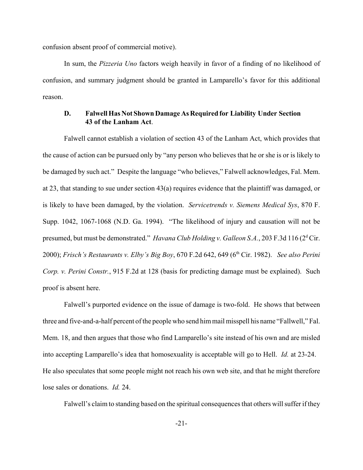confusion absent proof of commercial motive).

In sum, the *Pizzeria Uno* factors weigh heavily in favor of a finding of no likelihood of confusion, and summary judgment should be granted in Lamparello's favor for this additional reason.

## **D. Falwell Has Not Shown Damage As Required for Liability Under Section 43 of the Lanham Act**.

Falwell cannot establish a violation of section 43 of the Lanham Act, which provides that the cause of action can be pursued only by "any person who believes that he or she is or is likely to be damaged by such act." Despite the language "who believes," Falwell acknowledges, Fal. Mem. at 23, that standing to sue under section 43(a) requires evidence that the plaintiff was damaged, or is likely to have been damaged, by the violation. *Servicetrends v. Siemens Medical Sys*, 870 F. Supp. 1042, 1067-1068 (N.D. Ga. 1994). "The likelihood of injury and causation will not be presumed, but must be demonstrated." *Havana Club Holding v. Galleon S.A.*, 203 F.3d 116 (2<sup>d</sup> Cir. 2000); *Frisch's Restaurants v. Elby's Big Boy*, 670 F.2d 642, 649 (6<sup>th</sup> Cir. 1982). *See also Perini Corp. v. Perini Constr.*, 915 F.2d at 128 (basis for predicting damage must be explained). Such proof is absent here.

Falwell's purported evidence on the issue of damage is two-fold. He shows that between three and five-and-a-half percent of the people who send him mail misspell his name "Fallwell," Fal. Mem. 18, and then argues that those who find Lamparello's site instead of his own and are misled into accepting Lamparello's idea that homosexuality is acceptable will go to Hell. *Id.* at 23-24. He also speculates that some people might not reach his own web site, and that he might therefore lose sales or donations. *Id.* 24.

Falwell's claim to standing based on the spiritual consequences that others will suffer if they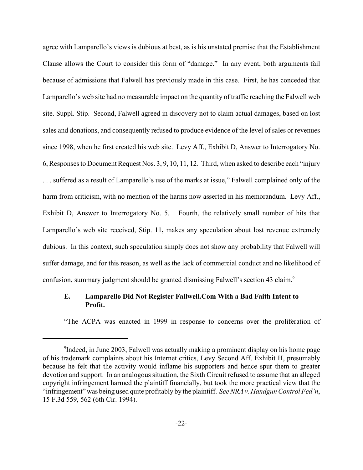agree with Lamparello's views is dubious at best, as is his unstated premise that the Establishment Clause allows the Court to consider this form of "damage." In any event, both arguments fail because of admissions that Falwell has previously made in this case. First, he has conceded that Lamparello's web site had no measurable impact on the quantity of traffic reaching the Falwell web site. Suppl. Stip. Second, Falwell agreed in discovery not to claim actual damages, based on lost sales and donations, and consequently refused to produce evidence of the level of sales or revenues since 1998, when he first created his web site. Levy Aff., Exhibit D, Answer to Interrogatory No. 6, Responses to Document Request Nos. 3, 9, 10, 11, 12. Third, when asked to describe each "injury . . . suffered as a result of Lamparello's use of the marks at issue," Falwell complained only of the harm from criticism, with no mention of the harms now asserted in his memorandum. Levy Aff., Exhibit D, Answer to Interrogatory No. 5. Fourth, the relatively small number of hits that Lamparello's web site received, Stip. 11**,** makes any speculation about lost revenue extremely dubious. In this context, such speculation simply does not show any probability that Falwell will suffer damage, and for this reason, as well as the lack of commercial conduct and no likelihood of confusion, summary judgment should be granted dismissing Falwell's section 43 claim.<sup>9</sup>

## **E. Lamparello Did Not Register Fallwell.Com With a Bad Faith Intent to Profit.**

"The ACPA was enacted in 1999 in response to concerns over the proliferation of

<sup>&</sup>lt;sup>9</sup>Indeed, in June 2003, Falwell was actually making a prominent display on his home page of his trademark complaints about his Internet critics, Levy Second Aff. Exhibit H, presumably because he felt that the activity would inflame his supporters and hence spur them to greater devotion and support. In an analogous situation, the Sixth Circuit refused to assume that an alleged copyright infringement harmed the plaintiff financially, but took the more practical view that the "infringement" was being used quite profitably by the plaintiff. *See NRA v. Handgun Control Fed'n*, 15 F.3d 559, 562 (6th Cir. 1994).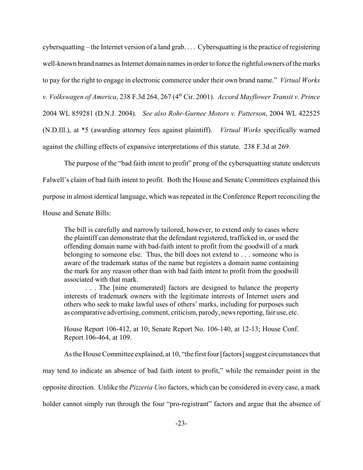cybersquatting – the Internet version of a land grab. . . . Cybersquatting is the practice of registering well-known brand names as Internet domain names in order to force the rightful owners of the marks to pay for the right to engage in electronic commerce under their own brand name." *Virtual Works v. Volkswagen of America*, 238 F.3d 264, 267 (4th Cir. 2001). *Accord Mayflower Transit v. Prince* 2004 WL 859281 (D.N.J. 2004). *See also Rohr-Gurnee Motors v. Patterson*, 2004 WL 422525 (N.D.Ill.), at \*5 (awarding attorney fees against plaintiff). *Virtual Works* specifically warned against the chilling effects of expansive interpretations of this statute. 238 F.3d at 269.

The purpose of the "bad faith intent to profit" prong of the cybers quatting statute undercuts Falwell's claim of bad faith intent to profit. Both the House and Senate Committees explained this purpose in almost identical language, which was repeated in the Conference Report reconciling the House and Senate Bills:

The bill is carefully and narrowly tailored, however, to extend only to cases where the plaintiff can demonstrate that the defendant registered, trafficked in, or used the offending domain name with bad-faith intent to profit from the goodwill of a mark belonging to someone else. Thus, the bill does not extend to . . . someone who is aware of the trademark status of the name but registers a domain name containing the mark for any reason other than with bad faith intent to profit from the goodwill associated with that mark.

. . . The [nine enumerated] factors are designed to balance the property interests of trademark owners with the legitimate interests of Internet users and others who seek to make lawful uses of others' marks, including for purposes such as comparative advertising, comment, criticism, parody, news reporting, fair use, etc.

House Report 106-412, at 10; Senate Report No. 106-140, at 12-13; House Conf. Report 106-464, at 109.

As the House Committee explained, at 10, "the first four [factors] suggest circumstances that may tend to indicate an absence of bad faith intent to profit," while the remainder point in the opposite direction. Unlike the *Pizzeria Uno* factors, which can be considered in every case, a mark holder cannot simply run through the four "pro-registrant" factors and argue that the absence of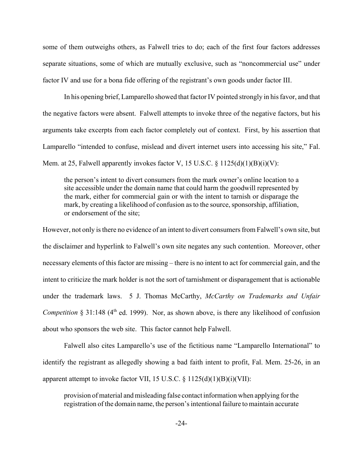some of them outweighs others, as Falwell tries to do; each of the first four factors addresses separate situations, some of which are mutually exclusive, such as "noncommercial use" under factor IV and use for a bona fide offering of the registrant's own goods under factor III.

In his opening brief, Lamparello showed that factor IV pointed strongly in his favor, and that the negative factors were absent. Falwell attempts to invoke three of the negative factors, but his arguments take excerpts from each factor completely out of context. First, by his assertion that Lamparello "intended to confuse, mislead and divert internet users into accessing his site," Fal. Mem. at 25, Falwell apparently invokes factor V, 15 U.S.C.  $\S 1125(d)(1)(B)(i)(V)$ :

the person's intent to divert consumers from the mark owner's online location to a site accessible under the domain name that could harm the goodwill represented by the mark, either for commercial gain or with the intent to tarnish or disparage the mark, by creating a likelihood of confusion as to the source, sponsorship, affiliation, or endorsement of the site;

However, not only is there no evidence of an intent to divert consumers from Falwell's own site, but the disclaimer and hyperlink to Falwell's own site negates any such contention. Moreover, other necessary elements of this factor are missing – there is no intent to act for commercial gain, and the intent to criticize the mark holder is not the sort of tarnishment or disparagement that is actionable under the trademark laws. 5 J. Thomas McCarthy, *McCarthy on Trademarks and Unfair Competition*  $\S 31:148$  ( $4<sup>th</sup>$  ed. 1999). Nor, as shown above, is there any likelihood of confusion about who sponsors the web site. This factor cannot help Falwell.

Falwell also cites Lamparello's use of the fictitious name "Lamparello International" to identify the registrant as allegedly showing a bad faith intent to profit, Fal. Mem. 25-26, in an apparent attempt to invoke factor VII, 15 U.S.C.  $\S 1125(d)(1)(B)(i)(VII)$ :

provision of material and misleading false contact information when applying for the registration of the domain name, the person's intentional failure to maintain accurate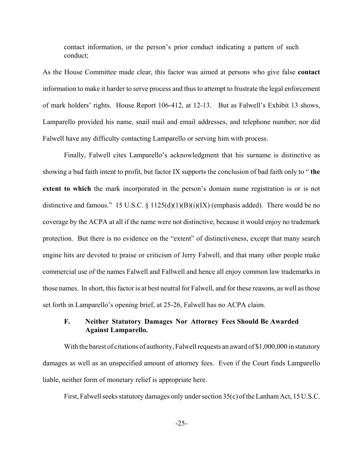contact information, or the person's prior conduct indicating a pattern of such conduct;

As the House Committee made clear, this factor was aimed at persons who give false **contact** information to make it harder to serve process and thus to attempt to frustrate the legal enforcement of mark holders' rights. House Report 106-412, at 12-13. But as Falwell's Exhibit 13 shows, Lamparello provided his name, snail mail and email addresses, and telephone number; nor did Falwell have any difficulty contacting Lamparello or serving him with process.

Finally, Falwell cites Lamparello's acknowledgment that his surname is distinctive as showing a bad faith intent to profit, but factor IX supports the conclusion of bad faith only to " **the extent to which** the mark incorporated in the person's domain name registration is or is not distinctive and famous." 15 U.S.C. § 1125(d)(1)(B)(i)(IX) (emphasis added). There would be no coverage by the ACPA at all if the name were not distinctive, because it would enjoy no trademark protection. But there is no evidence on the "extent" of distinctiveness, except that many search engine hits are devoted to praise or criticism of Jerry Falwell, and that many other people make commercial use of the names Falwell and Fallwell and hence all enjoy common law trademarks in those names. In short, this factor is at best neutral for Falwell, and for these reasons, as well as those set forth in Lamparello's opening brief, at 25-26, Falwell has no ACPA claim.

# **F. Neither Statutory Damages Nor Attorney Fees Should Be Awarded Against Lamparello.**

With the barest of citations of authority, Falwell requests an award of \$1,000,000 in statutory damages as well as an unspecified amount of attorney fees. Even if the Court finds Lamparello liable, neither form of monetary relief is appropriate here.

First, Falwell seeks statutory damages only under section 35(c) of the Lanham Act, 15 U.S.C.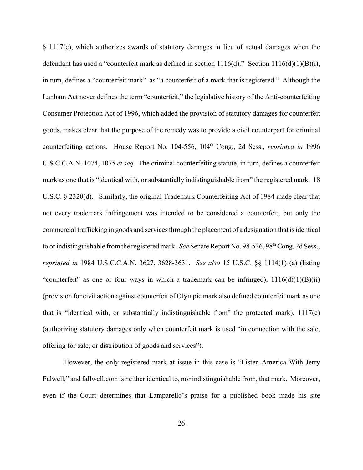§ 1117(c), which authorizes awards of statutory damages in lieu of actual damages when the defendant has used a "counterfeit mark as defined in section  $1116(d)$ ." Section  $1116(d)(1)(B)(i)$ , in turn, defines a "counterfeit mark" as "a counterfeit of a mark that is registered." Although the Lanham Act never defines the term "counterfeit," the legislative history of the Anti-counterfeiting Consumer Protection Act of 1996, which added the provision of statutory damages for counterfeit goods, makes clear that the purpose of the remedy was to provide a civil counterpart for criminal counterfeiting actions. House Report No. 104-556, 104<sup>th</sup> Cong., 2d Sess., *reprinted in* 1996 U.S.C.C.A.N. 1074, 1075 *et seq.* The criminal counterfeiting statute, in turn, defines a counterfeit mark as one that is "identical with, or substantially indistinguishable from" the registered mark. 18 U.S.C. § 2320(d). Similarly, the original Trademark Counterfeiting Act of 1984 made clear that not every trademark infringement was intended to be considered a counterfeit, but only the commercial trafficking in goods and services through the placement of a designation that is identical to or indistinguishable from the registered mark. *See* Senate Report No. 98-526, 98<sup>th</sup> Cong. 2d Sess., *reprinted in* 1984 U.S.C.C.A.N. 3627, 3628-3631. *See also* 15 U.S.C. §§ 1114(1) (a) (listing "counterfeit" as one or four ways in which a trademark can be infringed),  $1116(d)(1)(B)(ii)$ (provision for civil action against counterfeit of Olympic mark also defined counterfeit mark as one that is "identical with, or substantially indistinguishable from" the protected mark), 1117(c) (authorizing statutory damages only when counterfeit mark is used "in connection with the sale, offering for sale, or distribution of goods and services").

However, the only registered mark at issue in this case is "Listen America With Jerry Falwell," and fallwell.com is neither identical to, nor indistinguishable from, that mark. Moreover, even if the Court determines that Lamparello's praise for a published book made his site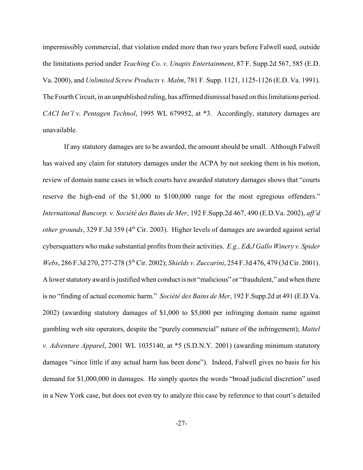impermissibly commercial, that violation ended more than two years before Falwell sued, outside the limitations period under *Teaching Co. v. Unapix Entertainment*, 87 F. Supp.2d 567, 585 (E.D. Va. 2000), and *Unlimited Screw Products v. Malm*, 781 F. Supp. 1121, 1125-1126 (E.D. Va. 1991). The Fourth Circuit, in an unpublished ruling, has affirmed dismissal based on this limitations period. *CACI Int'l v. Pentagen Technol*, 1995 WL 679952, at \*3. Accordingly, statutory damages are unavailable.

If any statutory damages are to be awarded, the amount should be small. Although Falwell has waived any claim for statutory damages under the ACPA by not seeking them in his motion, review of domain name cases in which courts have awarded statutory damages shows that "courts reserve the high-end of the \$1,000 to \$100,000 range for the most egregious offenders." *International Bancorp. v. Société des Bains de Mer*, 192 F.Supp.2d 467, 490 (E.D.Va. 2002), *aff'd other grounds*, 329 F.3d 359 (4<sup>th</sup> Cir. 2003). Higher levels of damages are awarded against serial cybersquatters who make substantial profits from their activities. *E.g., E&J Gallo Winery v. Spider Webs*, 286 F.3d 270, 277-278 (5th Cir. 2002); *Shields v. Zuccarini*, 254 F.3d 476, 479 (3d Cir. 2001). A lower statutory award is justified when conduct is not "malicious" or "fraudulent," and when there is no "finding of actual economic harm." *Société des Bains de Mer*, 192 F.Supp.2d at 491 (E.D.Va. 2002) (awarding statutory damages of \$1,000 to \$5,000 per infringing domain name against gambling web site operators, despite the "purely commercial" nature of the infringement); *Mattel v. Adventure Apparel*, 2001 WL 1035140, at \*5 (S.D.N.Y. 2001) (awarding minimum statutory damages "since little if any actual harm has been done"). Indeed, Falwell gives no basis for his demand for \$1,000,000 in damages. He simply quotes the words "broad judicial discretion" used in a New York case, but does not even try to analyze this case by reference to that court's detailed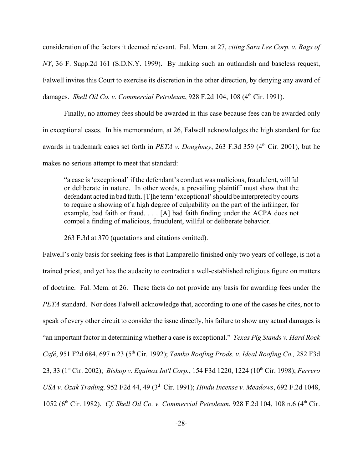consideration of the factors it deemed relevant. Fal. Mem. at 27, *citing Sara Lee Corp. v. Bags of NY*, 36 F. Supp.2d 161 (S.D.N.Y. 1999). By making such an outlandish and baseless request, Falwell invites this Court to exercise its discretion in the other direction, by denying any award of damages. *Shell Oil Co. v. Commercial Petroleum*, 928 F.2d 104, 108 (4<sup>th</sup> Cir. 1991).

Finally, no attorney fees should be awarded in this case because fees can be awarded only in exceptional cases. In his memorandum, at 26, Falwell acknowledges the high standard for fee awards in trademark cases set forth in *PETA v. Doughney*, 263 F.3d 359 (4<sup>th</sup> Cir. 2001), but he makes no serious attempt to meet that standard:

"a case is 'exceptional' if the defendant's conduct was malicious, fraudulent, willful or deliberate in nature. In other words, a prevailing plaintiff must show that the defendant acted in bad faith. [T]he term 'exceptional' should be interpreted by courts to require a showing of a high degree of culpability on the part of the infringer, for example, bad faith or fraud. . . . [A] bad faith finding under the ACPA does not compel a finding of malicious, fraudulent, willful or deliberate behavior.

263 F.3d at 370 (quotations and citations omitted).

Falwell's only basis for seeking fees is that Lamparello finished only two years of college, is not a trained priest, and yet has the audacity to contradict a well-established religious figure on matters of doctrine. Fal. Mem. at 26. These facts do not provide any basis for awarding fees under the *PETA* standard. Nor does Falwell acknowledge that, according to one of the cases he cites, not to speak of every other circuit to consider the issue directly, his failure to show any actual damages is "an important factor in determining whether a case is exceptional." *Texas Pig Stands v. Hard Rock Café*, 951 F2d 684, 697 n.23 (5th Cir. 1992); *Tamko Roofing Prods. v. Ideal Roofing Co.,* 282 F3d 23, 33 (1st Cir. 2002); *Bishop v. Equinox Int'l Corp.*, 154 F3d 1220, 1224 (10th Cir. 1998); *Ferrero* USA v. Ozak Trading, 952 F2d 44, 49 (3<sup>d</sup> Cir. 1991); *Hindu Incense v. Meadows*, 692 F.2d 1048, 1052 (6th Cir. 1982). *Cf. Shell Oil Co. v. Commercial Petroleum*, 928 F.2d 104, 108 n.6 (4th Cir.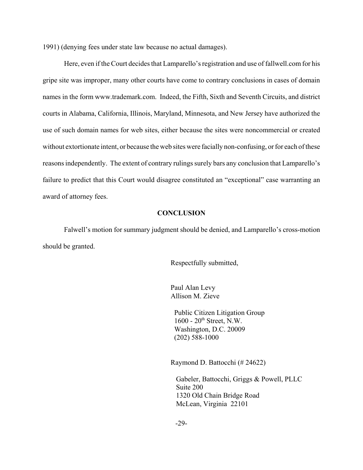1991) (denying fees under state law because no actual damages).

Here, even if the Court decides that Lamparello's registration and use of fallwell.com for his gripe site was improper, many other courts have come to contrary conclusions in cases of domain names in the form www.trademark.com. Indeed, the Fifth, Sixth and Seventh Circuits, and district courts in Alabama, California, Illinois, Maryland, Minnesota, and New Jersey have authorized the use of such domain names for web sites, either because the sites were noncommercial or created without extortionate intent, or because the web sites were facially non-confusing, or for each of these reasons independently. The extent of contrary rulings surely bars any conclusion that Lamparello's failure to predict that this Court would disagree constituted an "exceptional" case warranting an award of attorney fees.

## **CONCLUSION**

Falwell's motion for summary judgment should be denied, and Lamparello's cross-motion should be granted.

Respectfully submitted,

Paul Alan Levy Allison M. Zieve

 Public Citizen Litigation Group  $1600 - 20$ <sup>th</sup> Street, N.W. Washington, D.C. 20009 (202) 588-1000

Raymond D. Battocchi (# 24622)

 Gabeler, Battocchi, Griggs & Powell, PLLC Suite 200 1320 Old Chain Bridge Road McLean, Virginia 22101